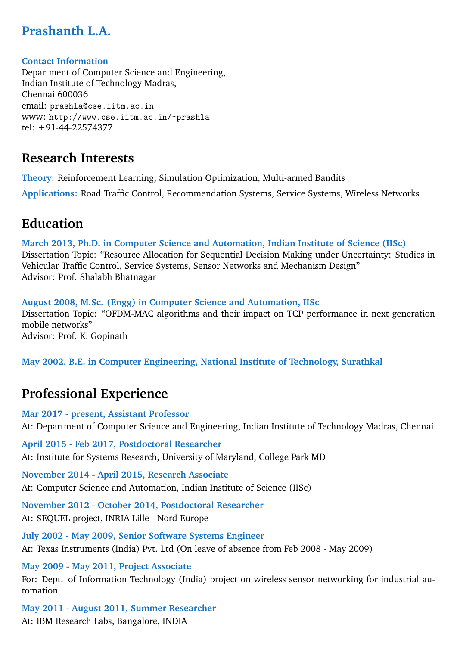## **Prashanth L.A.**

#### **Contact Information**

Department of Computer Science and Engineering, Indian Institute of Technology Madras, Chennai 600036 email: prashla@cse.iitm.ac.in www: http://www.cse.iitm.ac.in/~prashla tel: +91-44-22574377

### **Research Interests**

**Theory:** Reinforcement Learning, Simulation Optimization, Multi-armed Bandits **Applications:** Road Traffic Control, Recommendation Systems, Service Systems, Wireless Networks

### **Education**

**March 2013, Ph.D. in Computer Science and Automation, Indian Institute of Science (IISc)** Dissertation Topic: "Resource Allocation for Sequential Decision Making under Uncertainty: Studies in Vehicular Traffic Control, Service Systems, Sensor Networks and Mechanism Design" Advisor: Prof. Shalabh Bhatnagar

**August 2008, M.Sc. (Engg) in Computer Science and Automation, IISc** Dissertation Topic: "OFDM-MAC algorithms and their impact on TCP performance in next generation mobile networks" Advisor: Prof. K. Gopinath

**May 2002, B.E. in Computer Engineering, National Institute of Technology, Surathkal**

### **Professional Experience**

**Mar 2017 - present, Assistant Professor** At: Department of Computer Science and Engineering, Indian Institute of Technology Madras, Chennai

**April 2015 - Feb 2017, Postdoctoral Researcher** At: Institute for Systems Research, University of Maryland, College Park MD

**November 2014 - April 2015, Research Associate** At: Computer Science and Automation, Indian Institute of Science (IISc)

**November 2012 - October 2014, Postdoctoral Researcher** At: SEQUEL project, INRIA Lille - Nord Europe

**July 2002 - May 2009, Senior Software Systems Engineer** At: Texas Instruments (India) Pvt. Ltd (On leave of absence from Feb 2008 - May 2009)

**May 2009 - May 2011, Project Associate** For: Dept. of Information Technology (India) project on wireless sensor networking for industrial automation

**May 2011 - August 2011, Summer Researcher** At: IBM Research Labs, Bangalore, INDIA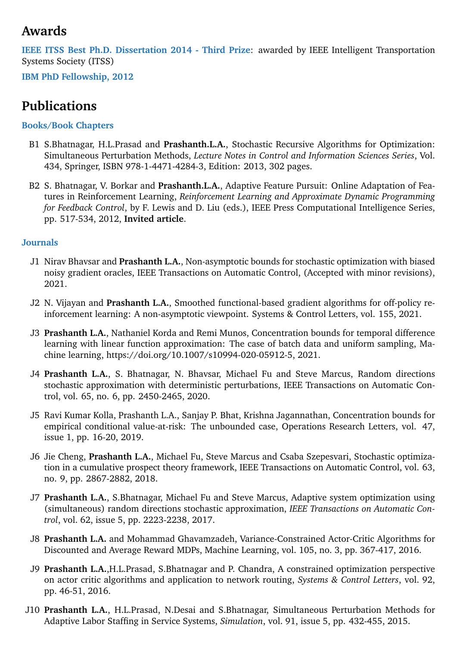### **Awards**

**IEEE ITSS Best Ph.D. Dissertation 2014 - Third Prize**: awarded by IEEE Intelligent Transportation Systems Society (ITSS)

**IBM PhD Fellowship, 2012**

### **Publications**

#### **Books/Book Chapters**

- B1 S.Bhatnagar, H.L.Prasad and **Prashanth.L.A.**, Stochastic Recursive Algorithms for Optimization: Simultaneous Perturbation Methods, *Lecture Notes in Control and Information Sciences Series*, Vol. 434, Springer, ISBN 978-1-4471-4284-3, Edition: 2013, 302 pages.
- B2 S. Bhatnagar, V. Borkar and **Prashanth.L.A.**, Adaptive Feature Pursuit: Online Adaptation of Features in Reinforcement Learning, *Reinforcement Learning and Approximate Dynamic Programming for Feedback Control*, by F. Lewis and D. Liu (eds.), IEEE Press Computational Intelligence Series, pp. 517-534, 2012, **Invited article**.

#### **Journals**

- J1 Nirav Bhavsar and **Prashanth L.A.**, Non-asymptotic bounds for stochastic optimization with biased noisy gradient oracles, IEEE Transactions on Automatic Control, (Accepted with minor revisions), 2021.
- J2 N. Vijayan and **Prashanth L.A.**, Smoothed functional-based gradient algorithms for off-policy reinforcement learning: A non-asymptotic viewpoint. Systems & Control Letters, vol. 155, 2021.
- J3 **Prashanth L.A.**, Nathaniel Korda and Remi Munos, Concentration bounds for temporal difference learning with linear function approximation: The case of batch data and uniform sampling, Machine learning, https://doi.org/10.1007/s10994-020-05912-5, 2021.
- J4 **Prashanth L.A.**, S. Bhatnagar, N. Bhavsar, Michael Fu and Steve Marcus, Random directions stochastic approximation with deterministic perturbations, IEEE Transactions on Automatic Control, vol. 65, no. 6, pp. 2450-2465, 2020.
- J5 Ravi Kumar Kolla, Prashanth L.A., Sanjay P. Bhat, Krishna Jagannathan, Concentration bounds for empirical conditional value-at-risk: The unbounded case, Operations Research Letters, vol. 47, issue 1, pp. 16-20, 2019.
- J6 Jie Cheng, **Prashanth L.A.**, Michael Fu, Steve Marcus and Csaba Szepesvari, Stochastic optimization in a cumulative prospect theory framework, IEEE Transactions on Automatic Control, vol. 63, no. 9, pp. 2867-2882, 2018.
- J7 **Prashanth L.A.**, S.Bhatnagar, Michael Fu and Steve Marcus, Adaptive system optimization using (simultaneous) random directions stochastic approximation, *IEEE Transactions on Automatic Control*, vol. 62, issue 5, pp. 2223-2238, 2017.
- J8 **Prashanth L.A.** and Mohammad Ghavamzadeh, Variance-Constrained Actor-Critic Algorithms for Discounted and Average Reward MDPs, Machine Learning, vol. 105, no. 3, pp. 367-417, 2016.
- J9 **Prashanth L.A.**,H.L.Prasad, S.Bhatnagar and P. Chandra, A constrained optimization perspective on actor critic algorithms and application to network routing, *Systems & Control Letters*, vol. 92, pp. 46-51, 2016.
- J10 **Prashanth L.A.**, H.L.Prasad, N.Desai and S.Bhatnagar, Simultaneous Perturbation Methods for Adaptive Labor Staffing in Service Systems, *Simulation*, vol. 91, issue 5, pp. 432-455, 2015.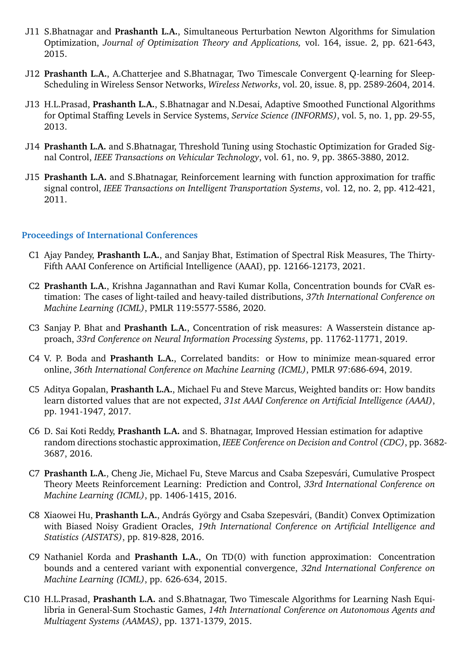- J11 S.Bhatnagar and **Prashanth L.A.**, Simultaneous Perturbation Newton Algorithms for Simulation Optimization, *Journal of Optimization Theory and Applications,* vol. 164, issue. 2, pp. 621-643, 2015.
- J12 **Prashanth L.A.**, A.Chatterjee and S.Bhatnagar, Two Timescale Convergent Q-learning for Sleep-Scheduling in Wireless Sensor Networks, *Wireless Networks*, vol. 20, issue. 8, pp. 2589-2604, 2014.
- J13 H.L.Prasad, **Prashanth L.A.**, S.Bhatnagar and N.Desai, Adaptive Smoothed Functional Algorithms for Optimal Staffing Levels in Service Systems, *Service Science (INFORMS)*, vol. 5, no. 1, pp. 29-55, 2013.
- J14 **Prashanth L.A.** and S.Bhatnagar, Threshold Tuning using Stochastic Optimization for Graded Signal Control, *IEEE Transactions on Vehicular Technology*, vol. 61, no. 9, pp. 3865-3880, 2012.
- J15 **Prashanth L.A.** and S.Bhatnagar, Reinforcement learning with function approximation for traffic signal control, *IEEE Transactions on Intelligent Transportation Systems*, vol. 12, no. 2, pp. 412-421, 2011.

#### **Proceedings of International Conferences**

- C1 Ajay Pandey, **Prashanth L.A.**, and Sanjay Bhat, Estimation of Spectral Risk Measures, The Thirty-Fifth AAAI Conference on Artificial Intelligence (AAAI), pp. 12166-12173, 2021.
- C2 **Prashanth L.A.**, Krishna Jagannathan and Ravi Kumar Kolla, Concentration bounds for CVaR estimation: The cases of light-tailed and heavy-tailed distributions, *37th International Conference on Machine Learning (ICML)*, PMLR 119:5577-5586, 2020.
- C3 Sanjay P. Bhat and **Prashanth L.A.**, Concentration of risk measures: A Wasserstein distance approach, *33rd Conference on Neural Information Processing Systems*, pp. 11762-11771, 2019.
- C4 V. P. Boda and **Prashanth L.A.**, Correlated bandits: or How to minimize mean-squared error online, *36th International Conference on Machine Learning (ICML)*, PMLR 97:686-694, 2019.
- C5 Aditya Gopalan, **Prashanth L.A.**, Michael Fu and Steve Marcus, Weighted bandits or: How bandits learn distorted values that are not expected, *31st AAAI Conference on Artificial Intelligence (AAAI)*, pp. 1941-1947, 2017.
- C6 D. Sai Koti Reddy, **Prashanth L.A.** and S. Bhatnagar, Improved Hessian estimation for adaptive random directions stochastic approximation, *IEEE Conference on Decision and Control (CDC)*, pp. 3682- 3687, 2016.
- C7 Prashanth L.A., Cheng Jie, Michael Fu, Steve Marcus and Csaba Szepesvári, Cumulative Prospect Theory Meets Reinforcement Learning: Prediction and Control, *33rd International Conference on Machine Learning (ICML)*, pp. 1406-1415, 2016.
- C8 Xiaowei Hu, Prashanth L.A., András György and Csaba Szepesvári, (Bandit) Convex Optimization with Biased Noisy Gradient Oracles, *19th International Conference on Artificial Intelligence and Statistics (AISTATS)*, pp. 819-828, 2016.
- C9 Nathaniel Korda and **Prashanth L.A.**, On TD(0) with function approximation: Concentration bounds and a centered variant with exponential convergence, *32nd International Conference on Machine Learning (ICML)*, pp. 626-634, 2015.
- C10 H.L.Prasad, **Prashanth L.A.** and S.Bhatnagar, Two Timescale Algorithms for Learning Nash Equilibria in General-Sum Stochastic Games, *14th International Conference on Autonomous Agents and Multiagent Systems (AAMAS)*, pp. 1371-1379, 2015.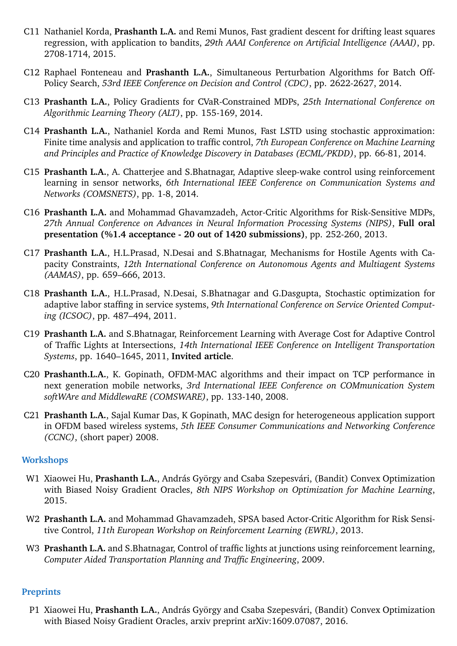- C11 Nathaniel Korda, **Prashanth L.A.** and Remi Munos, Fast gradient descent for drifting least squares regression, with application to bandits, *29th AAAI Conference on Artificial Intelligence (AAAI)*, pp. 2708-1714, 2015.
- C12 Raphael Fonteneau and **Prashanth L.A.**, Simultaneous Perturbation Algorithms for Batch Off-Policy Search, *53rd IEEE Conference on Decision and Control (CDC)*, pp. 2622-2627, 2014.
- C13 **Prashanth L.A.**, Policy Gradients for CVaR-Constrained MDPs, *25th International Conference on Algorithmic Learning Theory (ALT)*, pp. 155-169, 2014.
- C14 **Prashanth L.A.**, Nathaniel Korda and Remi Munos, Fast LSTD using stochastic approximation: Finite time analysis and application to traffic control, *7th European Conference on Machine Learning and Principles and Practice of Knowledge Discovery in Databases (ECML/PKDD)*, pp. 66-81, 2014.
- C15 **Prashanth L.A.**, A. Chatterjee and S.Bhatnagar, Adaptive sleep-wake control using reinforcement learning in sensor networks, *6th International IEEE Conference on Communication Systems and Networks (COMSNETS)*, pp. 1-8, 2014.
- C16 **Prashanth L.A.** and Mohammad Ghavamzadeh, Actor-Critic Algorithms for Risk-Sensitive MDPs, *27th Annual Conference on Advances in Neural Information Processing Systems (NIPS)*, **Full oral presentation (%1.4 acceptance - 20 out of 1420 submissions)**, pp. 252-260, 2013.
- C17 **Prashanth L.A.**, H.L.Prasad, N.Desai and S.Bhatnagar, Mechanisms for Hostile Agents with Capacity Constraints, *12th International Conference on Autonomous Agents and Multiagent Systems (AAMAS)*, pp. 659–666, 2013.
- C18 **Prashanth L.A.**, H.L.Prasad, N.Desai, S.Bhatnagar and G.Dasgupta, Stochastic optimization for adaptive labor staffing in service systems, *9th International Conference on Service Oriented Computing (ICSOC)*, pp. 487–494, 2011.
- C19 **Prashanth L.A.** and S.Bhatnagar, Reinforcement Learning with Average Cost for Adaptive Control of Traffic Lights at Intersections, *14th International IEEE Conference on Intelligent Transportation Systems*, pp. 1640–1645, 2011, **Invited article**.
- C20 **Prashanth.L.A.**, K. Gopinath, OFDM-MAC algorithms and their impact on TCP performance in next generation mobile networks, *3rd International IEEE Conference on COMmunication System softWAre and MiddlewaRE (COMSWARE)*, pp. 133-140, 2008.
- C21 **Prashanth L.A.**, Sajal Kumar Das, K Gopinath, MAC design for heterogeneous application support in OFDM based wireless systems, *5th IEEE Consumer Communications and Networking Conference (CCNC)*, (short paper) 2008.

#### **Workshops**

- W1 Xiaowei Hu, Prashanth L.A., András György and Csaba Szepesvári, (Bandit) Convex Optimization with Biased Noisy Gradient Oracles, *8th NIPS Workshop on Optimization for Machine Learning*, 2015.
- W2 **Prashanth L.A.** and Mohammad Ghavamzadeh, SPSA based Actor-Critic Algorithm for Risk Sensitive Control, *11th European Workshop on Reinforcement Learning (EWRL)*, 2013.
- W3 **Prashanth L.A.** and S.Bhatnagar, Control of traffic lights at junctions using reinforcement learning, *Computer Aided Transportation Planning and Traffic Engineering*, 2009.

#### **Preprints**

P1 Xiaowei Hu, Prashanth L.A., András György and Csaba Szepesvári, (Bandit) Convex Optimization with Biased Noisy Gradient Oracles, arxiv preprint arXiv:1609.07087, 2016.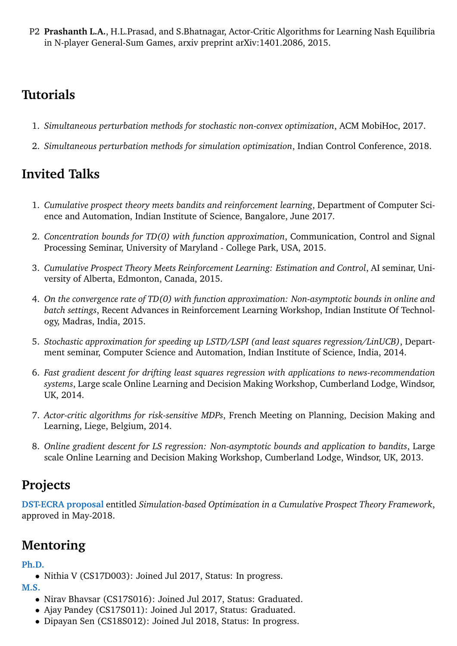P2 **Prashanth L.A.**, H.L.Prasad, and S.Bhatnagar, Actor-Critic Algorithms for Learning Nash Equilibria in N-player General-Sum Games, arxiv preprint arXiv:1401.2086, 2015.

## **Tutorials**

- 1. *Simultaneous perturbation methods for stochastic non-convex optimization*, ACM MobiHoc, 2017.
- 2. *Simultaneous perturbation methods for simulation optimization*, Indian Control Conference, 2018.

# **Invited Talks**

- 1. *Cumulative prospect theory meets bandits and reinforcement learning*, Department of Computer Science and Automation, Indian Institute of Science, Bangalore, June 2017.
- 2. *Concentration bounds for TD(0) with function approximation*, Communication, Control and Signal Processing Seminar, University of Maryland - College Park, USA, 2015.
- 3. *Cumulative Prospect Theory Meets Reinforcement Learning: Estimation and Control*, AI seminar, University of Alberta, Edmonton, Canada, 2015.
- 4. *On the convergence rate of TD(0) with function approximation: Non-asymptotic bounds in online and batch settings*, Recent Advances in Reinforcement Learning Workshop, Indian Institute Of Technology, Madras, India, 2015.
- 5. *Stochastic approximation for speeding up LSTD/LSPI (and least squares regression/LinUCB)*, Department seminar, Computer Science and Automation, Indian Institute of Science, India, 2014.
- 6. *Fast gradient descent for drifting least squares regression with applications to news-recommendation systems*, Large scale Online Learning and Decision Making Workshop, Cumberland Lodge, Windsor, UK, 2014.
- 7. *Actor-critic algorithms for risk-sensitive MDPs*, French Meeting on Planning, Decision Making and Learning, Liege, Belgium, 2014.
- 8. *Online gradient descent for LS regression: Non-asymptotic bounds and application to bandits*, Large scale Online Learning and Decision Making Workshop, Cumberland Lodge, Windsor, UK, 2013.

## **Projects**

**DST-ECRA proposal** entitled *Simulation-based Optimization in a Cumulative Prospect Theory Framework*, approved in May-2018.

# **Mentoring**

### **Ph.D.**

• Nithia V (CS17D003): Joined Jul 2017, Status: In progress.

**M.S.**

- Nirav Bhavsar (CS17S016): Joined Jul 2017, Status: Graduated.
- Ajay Pandey (CS17S011): Joined Jul 2017, Status: Graduated.
- Dipayan Sen (CS18S012): Joined Jul 2018, Status: In progress.